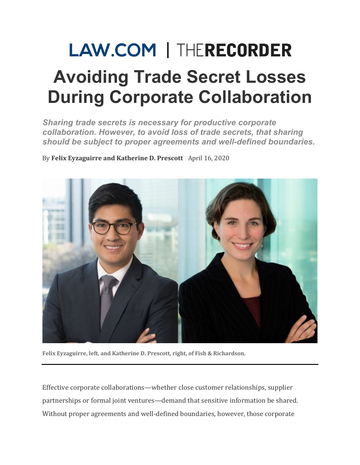## **LAW.COM | THERECORDER Avoiding Trade Secret Losses During Corporate Collaboration**

*Sharing trade secrets is necessary for productive corporate collaboration. However, to avoid loss of trade secrets, that sharing should be subject to proper agreements and well-defined boundaries.*

By Felix Eyzaguirre and Katherine D. Prescott | April 16, 2020



Felix Eyzaguirre, left, and Katherine D. Prescott, right, of Fish & Richardson.

Effective corporate collaborations—whether close customer relationships, supplier partnerships or formal joint ventures—demand that sensitive information be shared. Without proper agreements and well-defined boundaries, however, those corporate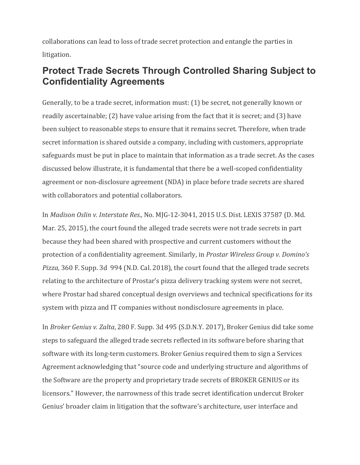collaborations can lead to loss of trade secret protection and entangle the parties in litigation.

## **Protect Trade Secrets Through Controlled Sharing Subject to Confidentiality Agreements**

Generally, to be a trade secret, information must: (1) be secret, not generally known or readily ascertainable;  $(2)$  have value arising from the fact that it is secret; and  $(3)$  have been subject to reasonable steps to ensure that it remains secret. Therefore, when trade secret information is shared outside a company, including with customers, appropriate safeguards must be put in place to maintain that information as a trade secret. As the cases discussed below illustrate, it is fundamental that there be a well-scoped confidentiality agreement or non-disclosure agreement (NDA) in place before trade secrets are shared with collaborators and potential collaborators.

In *Madison Oslin v. Interstate Res.,* No. MJG-12-3041, 2015 U.S. Dist. LEXIS 37587 (D. Md. Mar. 25, 2015), the court found the alleged trade secrets were not trade secrets in part because they had been shared with prospective and current customers without the protection of a confidentiality agreement. Similarly, in *Prostar Wireless Group v. Domino's Pizza,* 360 F. Supp. 3d 994 (N.D. Cal. 2018), the court found that the alleged trade secrets relating to the architecture of Prostar's pizza delivery tracking system were not secret, where Prostar had shared conceptual design overviews and technical specifications for its system with pizza and IT companies without nondisclosure agreements in place.

In *Broker Genius v. Zalta*, 280 F. Supp. 3d 495 (S.D.N.Y. 2017), Broker Genius did take some steps to safeguard the alleged trade secrets reflected in its software before sharing that software with its long-term customers. Broker Genius required them to sign a Services Agreement acknowledging that "source code and underlying structure and algorithms of the Software are the property and proprietary trade secrets of BROKER GENIUS or its licensors." However, the narrowness of this trade secret identification undercut Broker Genius' broader claim in litigation that the software's architecture, user interface and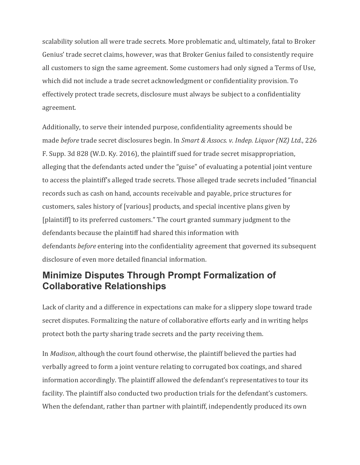scalability solution all were trade secrets. More problematic and, ultimately, fatal to Broker Genius' trade secret claims, however, was that Broker Genius failed to consistently require all customers to sign the same agreement. Some customers had only signed a Terms of Use, which did not include a trade secret acknowledgment or confidentiality provision. To effectively protect trade secrets, disclosure must always be subject to a confidentiality agreement.

Additionally, to serve their intended purpose, confidentiality agreements should be made *before* trade secret disclosures begin. In *Smart & Assocs. v. Indep. Liquor (NZ) Ltd.*, 226 F. Supp. 3d 828 (W.D. Ky. 2016), the plaintiff sued for trade secret misappropriation, alleging that the defendants acted under the "guise" of evaluating a potential joint venture to access the plaintiff's alleged trade secrets. Those alleged trade secrets included "financial" records such as cash on hand, accounts receivable and payable, price structures for customers, sales history of [various] products, and special incentive plans given by [plaintiff] to its preferred customers." The court granted summary judgment to the defendants because the plaintiff had shared this information with defendants *before* entering into the confidentiality agreement that governed its subsequent disclosure of even more detailed financial information.

## **Minimize Disputes Through Prompt Formalization of Collaborative Relationships**

Lack of clarity and a difference in expectations can make for a slippery slope toward trade secret disputes. Formalizing the nature of collaborative efforts early and in writing helps protect both the party sharing trade secrets and the party receiving them.

In *Madison*, although the court found otherwise, the plaintiff believed the parties had verbally agreed to form a joint venture relating to corrugated box coatings, and shared information accordingly. The plaintiff allowed the defendant's representatives to tour its facility. The plaintiff also conducted two production trials for the defendant's customers. When the defendant, rather than partner with plaintiff, independently produced its own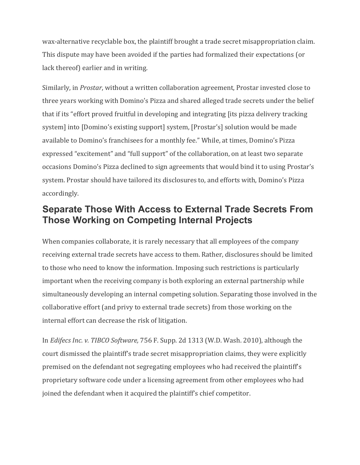wax-alternative recyclable box, the plaintiff brought a trade secret misappropriation claim. This dispute may have been avoided if the parties had formalized their expectations (or lack thereof) earlier and in writing.

Similarly, in *Prostar*, without a written collaboration agreement, Prostar invested close to three years working with Domino's Pizza and shared alleged trade secrets under the belief that if its "effort proved fruitful in developing and integrating [its pizza delivery tracking system] into [Domino's existing support] system, [Prostar's] solution would be made available to Domino's franchisees for a monthly fee." While, at times, Domino's Pizza expressed "excitement" and "full support" of the collaboration, on at least two separate occasions Domino's Pizza declined to sign agreements that would bind it to using Prostar's system. Prostar should have tailored its disclosures to, and efforts with, Domino's Pizza accordingly.

## **Separate Those With Access to External Trade Secrets From Those Working on Competing Internal Projects**

When companies collaborate, it is rarely necessary that all employees of the company receiving external trade secrets have access to them. Rather, disclosures should be limited to those who need to know the information. Imposing such restrictions is particularly important when the receiving company is both exploring an external partnership while simultaneously developing an internal competing solution. Separating those involved in the collaborative effort (and privy to external trade secrets) from those working on the internal effort can decrease the risk of litigation.

In *Edifecs Inc. v. TIBCO Software,* 756 F. Supp. 2d 1313 (W.D. Wash. 2010), although the court dismissed the plaintiff's trade secret misappropriation claims, they were explicitly premised on the defendant not segregating employees who had received the plaintiff's proprietary software code under a licensing agreement from other employees who had joined the defendant when it acquired the plaintiff's chief competitor.